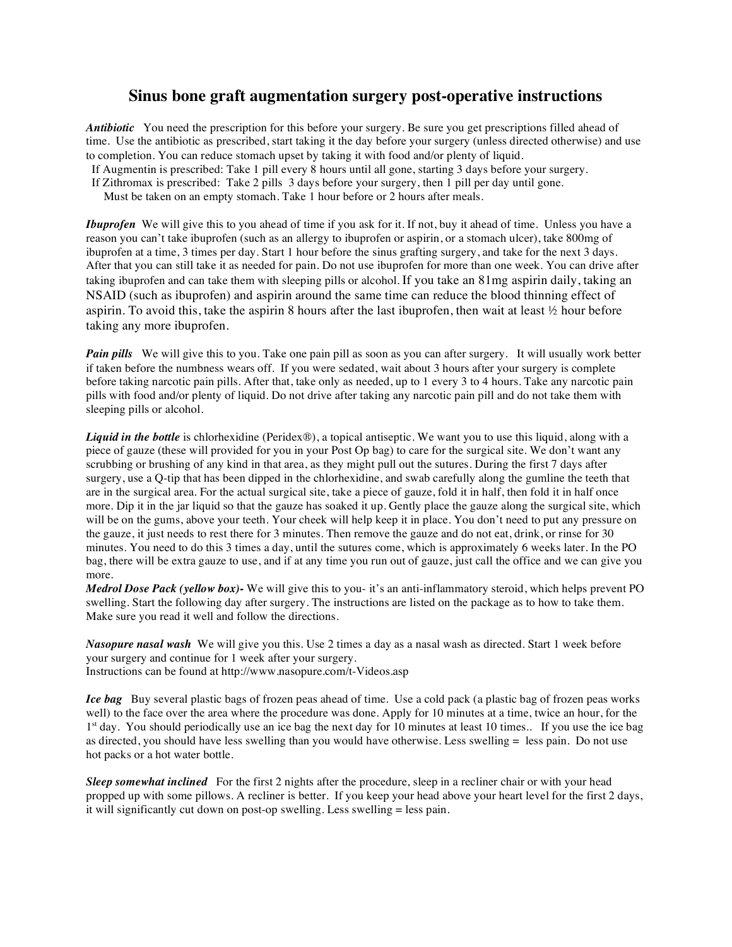## **Sinus bone graft augmentation surgery post-operative instructions**

*Antibiotic* You need the prescription for this before your surgery. Be sure you get prescriptions filled ahead of time. Use the antibiotic as prescribed, start taking it the day before your surgery (unless directed otherwise) and use to completion. You can reduce stomach upset by taking it with food and/or plenty of liquid.

If Augmentin is prescribed: Take 1 pill every 8 hours until all gone, starting 3 days before your surgery.

If Zithromax is prescribed: Take 2 pills 3 days before your surgery, then 1 pill per day until gone.

Must be taken on an empty stomach. Take 1 hour before or 2 hours after meals.

*Ibuprofen* We will give this to you ahead of time if you ask for it. If not, buy it ahead of time. Unless you have a reason you can't take ibuprofen (such as an allergy to ibuprofen or aspirin, or a stomach ulcer), take 800mg of ibuprofen at a time, 3 times per day. Start 1 hour before the sinus grafting surgery, and take for the next 3 days. After that you can still take it as needed for pain. Do not use ibuprofen for more than one week. You can drive after taking ibuprofen and can take them with sleeping pills or alcohol. If you take an 81mg aspirin daily, taking an NSAID (such as ibuprofen) and aspirin around the same time can reduce the blood thinning effect of aspirin. To avoid this, take the aspirin 8 hours after the last ibuprofen, then wait at least ½ hour before taking any more ibuprofen.

*Pain pills* We will give this to you. Take one pain pill as soon as you can after surgery. It will usually work better if taken before the numbness wears off. If you were sedated, wait about 3 hours after your surgery is complete before taking narcotic pain pills. After that, take only as needed, up to 1 every 3 to 4 hours. Take any narcotic pain pills with food and/or plenty of liquid. Do not drive after taking any narcotic pain pill and do not take them with sleeping pills or alcohol.

*Liquid in the bottle* is chlorhexidine (Peridex®), a topical antiseptic. We want you to use this liquid, along with a piece of gauze (these will provided for you in your Post Op bag) to care for the surgical site. We don't want any scrubbing or brushing of any kind in that area, as they might pull out the sutures. During the first 7 days after surgery, use a Q-tip that has been dipped in the chlorhexidine, and swab carefully along the gumline the teeth that are in the surgical area. For the actual surgical site, take a piece of gauze, fold it in half, then fold it in half once more. Dip it in the jar liquid so that the gauze has soaked it up. Gently place the gauze along the surgical site, which will be on the gums, above your teeth. Your cheek will help keep it in place. You don't need to put any pressure on the gauze, it just needs to rest there for 3 minutes. Then remove the gauze and do not eat, drink, or rinse for 30 minutes. You need to do this 3 times a day, until the sutures come, which is approximately 6 weeks later. In the PO bag, there will be extra gauze to use, and if at any time you run out of gauze, just call the office and we can give you more.

*Medrol Dose Pack (yellow box)-* We will give this to you- it's an anti-inflammatory steroid, which helps prevent PO swelling. Start the following day after surgery. The instructions are listed on the package as to how to take them. Make sure you read it well and follow the directions.

*Nasopure nasal wash* We will give you this. Use 2 times a day as a nasal wash as directed. Start 1 week before your surgery and continue for 1 week after your surgery. Instructions can be found at http://www.nasopure.com/t-Videos.asp

*Ice bag* Buy several plastic bags of frozen peas ahead of time. Use a cold pack (a plastic bag of frozen peas works well) to the face over the area where the procedure was done. Apply for 10 minutes at a time, twice an hour, for the  $1<sup>st</sup>$  day. You should periodically use an ice bag the next day for 10 minutes at least 10 times.. If you use the ice bag as directed, you should have less swelling than you would have otherwise. Less swelling = less pain. Do not use hot packs or a hot water bottle.

*Sleep somewhat inclined* For the first 2 nights after the procedure, sleep in a recliner chair or with your head propped up with some pillows. A recliner is better. If you keep your head above your heart level for the first 2 days, it will significantly cut down on post-op swelling. Less swelling = less pain.